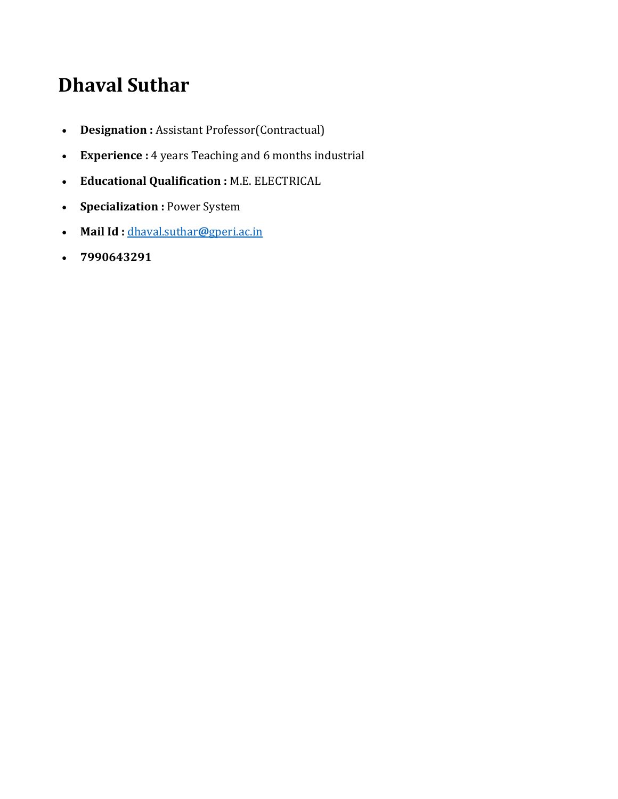# **Dhaval Suthar**

- **Designation :** Assistant Professor(Contractual)
- **Experience :** 4 years Teaching and 6 months industrial
- **Educational Qualification :** M.E. ELECTRICAL
- **Specialization :** Power System
- **Mail Id :** dhaval.suthar**@**gperi.ac.in
- **7990643291**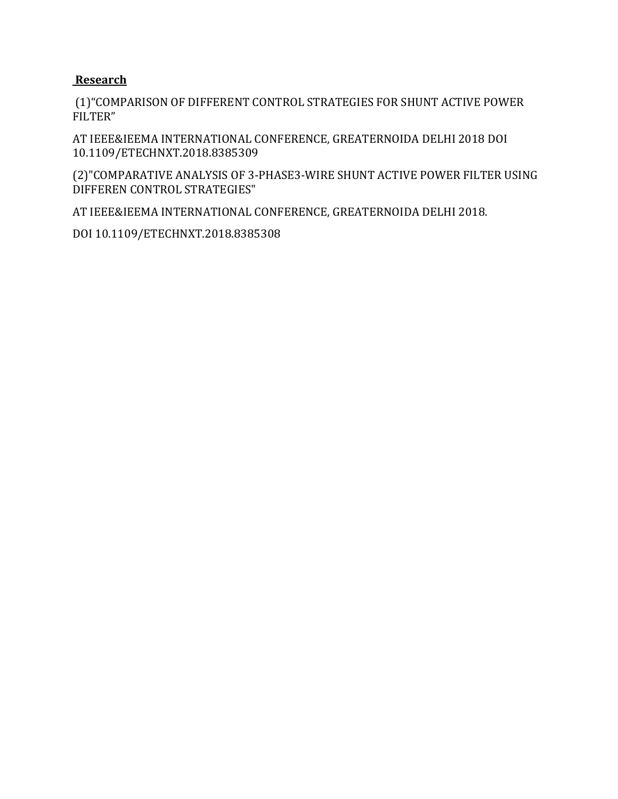#### **Research**

(1)"COMPARISON OF DIFFERENT CONTROL STRATEGIES FOR SHUNT ACTIVE POWER FILTER"

AT IEEE&IEEMA INTERNATIONAL CONFERENCE, GREATERNOIDA DELHI 2018 DOI 10.1109/ETECHNXT.2018.8385309

(2)"COMPARATIVE ANALYSIS OF 3-PHASE3-WIRE SHUNT ACTIVE POWER FILTER USING DIFFEREN CONTROL STRATEGIES"

AT IEEE&IEEMA INTERNATIONAL CONFERENCE, GREATERNOIDA DELHI 2018.

DOI 10.1109/ETECHNXT.2018.8385308